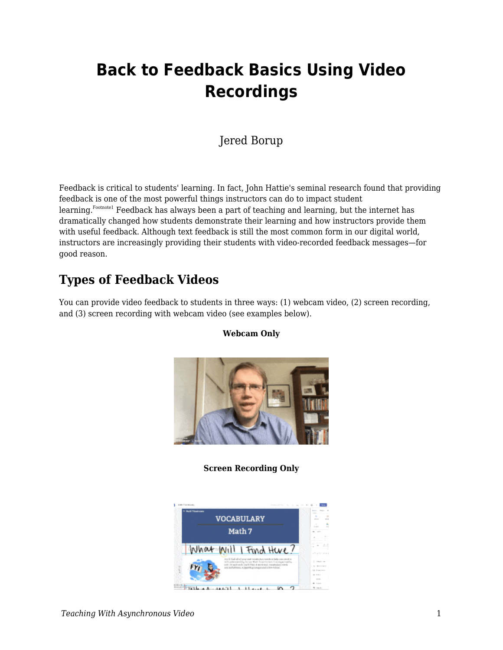# **Back to Feedback Basics Using Video Recordings**

#### Jered Borup

Feedback is critical to students' learning. In fact, John Hattie's seminal research found that providing feedback is one of the most powerful things instructors can do to impact student learning.<sup>Footnote1</sup> Feedback has always been a part of teaching and learning, but the internet has dramatically changed how students demonstrate their learning and how instructors provide them with useful feedback. Although text feedback is still the most common form in our digital world, instructors are increasingly providing their students with video-recorded feedback messages—for good reason.

#### **Types of Feedback Videos**

You can provide video feedback to students in three ways: (1) webcam video, (2) screen recording, and (3) screen recording with webcam video (see examples below).

**Webcam Only**



#### **Screen Recording Only**

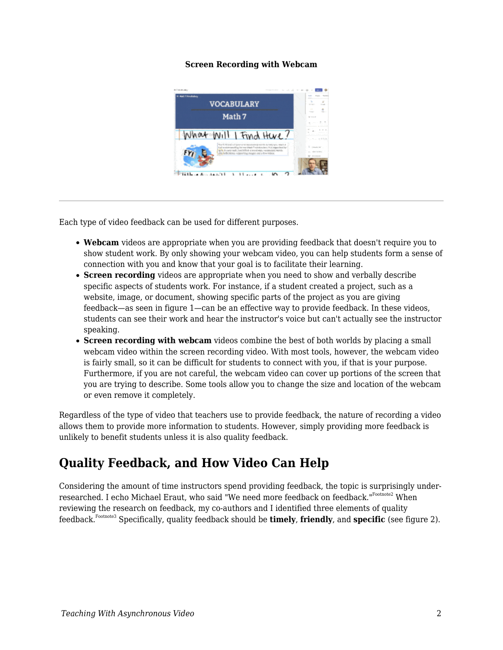#### **Screen Recording with Webcam**



Each type of video feedback can be used for different purposes.

- **Webcam** videos are appropriate when you are providing feedback that doesn't require you to show student work. By only showing your webcam video, you can help students form a sense of connection with you and know that your goal is to facilitate their learning.
- **Screen recording** videos are appropriate when you need to show and verbally describe specific aspects of students work. For instance, if a student created a project, such as a website, image, or document, showing specific parts of the project as you are giving feedback—as seen in figure 1—can be an effective way to provide feedback. In these videos, students can see their work and hear the instructor's voice but can't actually see the instructor speaking.
- **Screen recording with webcam** videos combine the best of both worlds by placing a small webcam video within the screen recording video. With most tools, however, the webcam video is fairly small, so it can be difficult for students to connect with you, if that is your purpose. Furthermore, if you are not careful, the webcam video can cover up portions of the screen that you are trying to describe. Some tools allow you to change the size and location of the webcam or even remove it completely.

Regardless of the type of video that teachers use to provide feedback, the nature of recording a video allows them to provide more information to students. However, simply providing more feedback is unlikely to benefit students unless it is also quality feedback.

#### **Quality Feedback, and How Video Can Help**

Considering the amount of time instructors spend providing feedback, the topic is surprisingly underresearched. I echo Michael Eraut, who said "We need more feedback on feedback."Footnote2 When reviewing the research on feedback, my co-authors and I identified three elements of quality feedback.Footnote3 Specifically, quality feedback should be **timely**, **friendly**, and **specific** (see figure 2).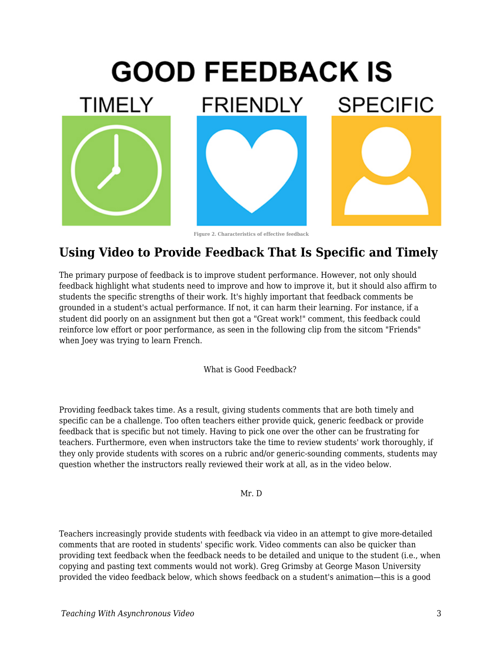

**Figure 2. Characteristics of effective feedback**

### **Using Video to Provide Feedback That Is Specific and Timely**

The primary purpose of feedback is to improve student performance. However, not only should feedback highlight what students need to improve and how to improve it, but it should also affirm to students the specific strengths of their work. It's highly important that feedback comments be grounded in a student's actual performance. If not, it can harm their learning. For instance, if a student did poorly on an assignment but then got a "Great work!" comment, this feedback could reinforce low effort or poor performance, as seen in the following clip from the sitcom "Friends" when Joey was trying to learn French.

What is Good Feedback?

Providing feedback takes time. As a result, giving students comments that are both timely and specific can be a challenge. Too often teachers either provide quick, generic feedback or provide feedback that is specific but not timely. Having to pick one over the other can be frustrating for teachers. Furthermore, even when instructors take the time to review students' work thoroughly, if they only provide students with scores on a rubric and/or generic-sounding comments, students may question whether the instructors really reviewed their work at all, as in the video below.

Mr. D

Teachers increasingly provide students with feedback via video in an attempt to give more-detailed comments that are rooted in students' specific work. Video comments can also be quicker than providing text feedback when the feedback needs to be detailed and unique to the student (i.e., when copying and pasting text comments would not work). Greg Grimsby at George Mason University provided the video feedback below, which shows feedback on a student's animation—this is a good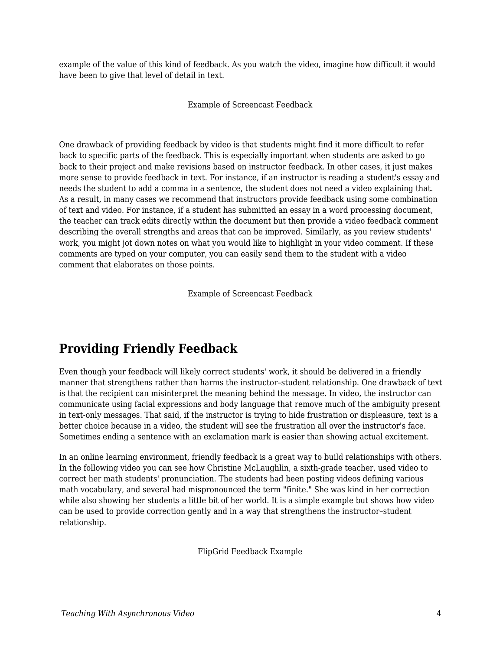example of the value of this kind of feedback. As you watch the video, imagine how difficult it would have been to give that level of detail in text.

Example of Screencast Feedback

One drawback of providing feedback by video is that students might find it more difficult to refer back to specific parts of the feedback. This is especially important when students are asked to go back to their project and make revisions based on instructor feedback. In other cases, it just makes more sense to provide feedback in text. For instance, if an instructor is reading a student's essay and needs the student to add a comma in a sentence, the student does not need a video explaining that. As a result, in many cases we recommend that instructors provide feedback using some combination of text and video. For instance, if a student has submitted an essay in a word processing document, the teacher can track edits directly within the document but then provide a video feedback comment describing the overall strengths and areas that can be improved. Similarly, as you review students' work, you might jot down notes on what you would like to highlight in your video comment. If these comments are typed on your computer, you can easily send them to the student with a video comment that elaborates on those points.

Example of Screencast Feedback

# **Providing Friendly Feedback**

Even though your feedback will likely correct students' work, it should be delivered in a friendly manner that strengthens rather than harms the instructor–student relationship. One drawback of text is that the recipient can misinterpret the meaning behind the message. In video, the instructor can communicate using facial expressions and body language that remove much of the ambiguity present in text-only messages. That said, if the instructor is trying to hide frustration or displeasure, text is a better choice because in a video, the student will see the frustration all over the instructor's face. Sometimes ending a sentence with an exclamation mark is easier than showing actual excitement.

In an online learning environment, friendly feedback is a great way to build relationships with others. In the following video you can see how Christine McLaughlin, a sixth-grade teacher, used video to correct her math students' pronunciation. The students had been posting videos defining various math vocabulary, and several had mispronounced the term "finite." She was kind in her correction while also showing her students a little bit of her world. It is a simple example but shows how video can be used to provide correction gently and in a way that strengthens the instructor–student relationship.

FlipGrid Feedback Example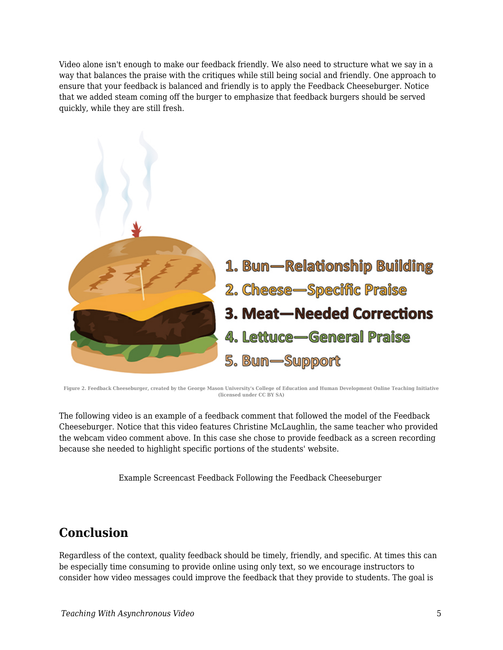Video alone isn't enough to make our feedback friendly. We also need to structure what we say in a way that balances the praise with the critiques while still being social and friendly. One approach to ensure that your feedback is balanced and friendly is to apply the Feedback Cheeseburger. Notice that we added steam coming off the burger to emphasize that feedback burgers should be served quickly, while they are still fresh.



**Figure 2. Feedback Cheeseburger, created by the George Mason University's College of Education and Human Development Online Teaching Initiative (licensed under CC BY SA)**

The following video is an example of a feedback comment that followed the model of the Feedback Cheeseburger. Notice that this video features Christine McLaughlin, the same teacher who provided the webcam video comment above. In this case she chose to provide feedback as a screen recording because she needed to highlight specific portions of the students' website.

Example Screencast Feedback Following the Feedback Cheeseburger

#### **Conclusion**

Regardless of the context, quality feedback should be timely, friendly, and specific. At times this can be especially time consuming to provide online using only text, so we encourage instructors to consider how video messages could improve the feedback that they provide to students. The goal is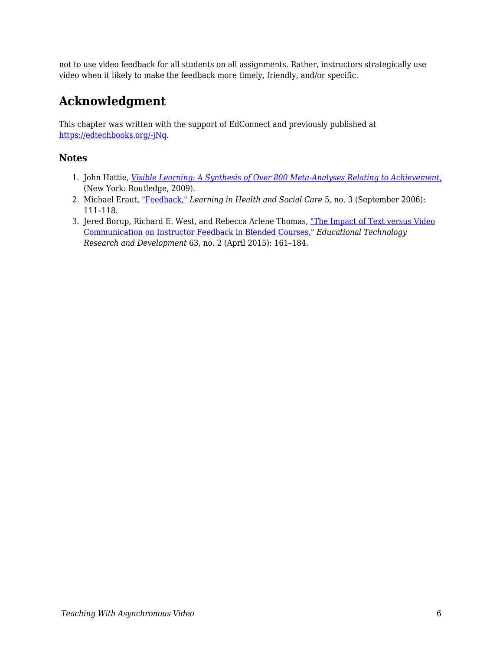not to use video feedback for all students on all assignments. Rather, instructors strategically use video when it likely to make the feedback more timely, friendly, and/or specific.

# **Acknowledgment**

This chapter was written with the support of EdConnect and previously published at [https://edtechbooks.org/-jNq.](https://er.educause.edu/blogs/2021/2/back-to-feedback-basics-using-video-recordings)

#### **Notes**

- 1. John Hattie, *[Visible Learning: A Synthesis of Over 800 Meta-Analyses Relating to Achievement](https://www.routledge.com/Visible-Learning-A-Synthesis-of-Over-800-Meta-Analyses-Relating-to-Achievement/Hattie/p/book/9780415476188)*[,](https://www.routledge.com/Visible-Learning-A-Synthesis-of-Over-800-Meta-Analyses-Relating-to-Achievement/Hattie/p/book/9780415476188) (New York: Routledge, 2009).
- 2. Michael Eraut, ["Feedback,"](https://doi.org/doi:10.1111/j.1473-6861.2006.00129.x) *Learning in Health and Social Care* 5, no. 3 (September 2006): 111–118.
- 3. Jered Borup, Richard E. West, and Rebecca Arlene Thomas, ["The Impact of Text versus Video](https://www.researchgate.net/publication/273641078_The_impact_of_text_versus_video_communication_on_instructor_feedback_in_blended_courses) [Communication on Instructor Feedback in Blended Courses,"](https://www.researchgate.net/publication/273641078_The_impact_of_text_versus_video_communication_on_instructor_feedback_in_blended_courses) *Educational Technology Research and Development* 63, no. 2 (April 2015): 161–184.